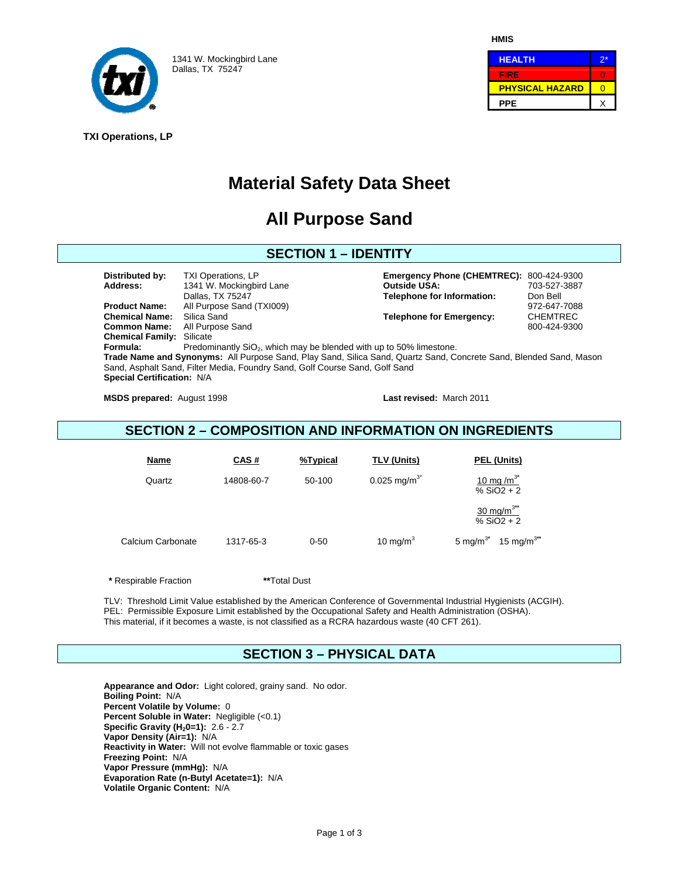

**HMIS** 

| <b>HEALTH</b>          |  |
|------------------------|--|
| FIRE                   |  |
| <b>PHYSICAL HAZARD</b> |  |
| <b>PPE</b>             |  |

 **TXI Operations, LP** 

# **Material Safety Data Sheet**

# **All Purpose Sand**

# **SECTION 1 – IDENTITY**

**Distributed by:** TXI Operations, LP **Emergency Phone (CHEMTREC):** 800-424-9300 **Address:** 1341 W. Mockingbird Lane **Outside USA:** 703-527-3887 Dallas, TX 75247 **Telephone for Information:** Don Bell **Product Name:** All Purpose Sand (TXI009)<br> **Chemical Name:** Silica Sand **Changes Chemical Name:** Silica Sand **1972-647-7088 Telephone for Emergency: Common Name:** All Purpose Sand 800-424-9300 and 800-424-9300 **Chemical Family:** Silicate **Formula:** Predominantly SiO<sub>2</sub>, which may be blended with up to 50% limestone. **Trade Name and Synonyms:** All Purpose Sand, Play Sand, Silica Sand, Quartz Sand, Concrete Sand, Blended Sand, Mason

Sand, Asphalt Sand, Filter Media, Foundry Sand, Golf Course Sand, Golf Sand **Special Certification:** N/A

**MSDS prepared:** August 1998 **Last revised:** March 2011

### **SECTION 2 – COMPOSITION AND INFORMATION ON INGREDIENTS**

| Name              | <b>CAS#</b> | %Typical | TLV (Units)               | PEL (Units)                               |
|-------------------|-------------|----------|---------------------------|-------------------------------------------|
| Quartz            | 14808-60-7  | 50-100   | $0.025$ mg/m <sup>3</sup> | $10 \text{ mg/m}^{3^*}$<br>% $SiO2 + 2$   |
|                   |             |          |                           | $30 \text{ mg/m}^{3**}$<br>% $SiO2 + 2$   |
| Calcium Carbonate | 1317-65-3   | $0 - 50$ | 10 mg/m $3$               | 5 mg/ $m^{3^*}$<br>15 mg/m <sup>3**</sup> |

**\*** Respirable Fraction **\*\***Total Dust

TLV: Threshold Limit Value established by the American Conference of Governmental Industrial Hygienists (ACGIH). PEL: Permissible Exposure Limit established by the Occupational Safety and Health Administration (OSHA). This material, if it becomes a waste, is not classified as a RCRA hazardous waste (40 CFT 261).

# **SECTION 3 – PHYSICAL DATA**

**Appearance and Odor:** Light colored, grainy sand. No odor. **Boiling Point:** N/A **Percent Volatile by Volume:** 0 **Percent Soluble in Water:** Negligible (<0.1) **Specific Gravity (H<sub>2</sub>0=1):** 2.6 - 2.7 **Vapor Density (Air=1):** N/A **Reactivity in Water:** Will not evolve flammable or toxic gases **Freezing Point:** N/A **Vapor Pressure (mmHg):** N/A **Evaporation Rate (n-Butyl Acetate=1):** N/A **Volatile Organic Content:** N/A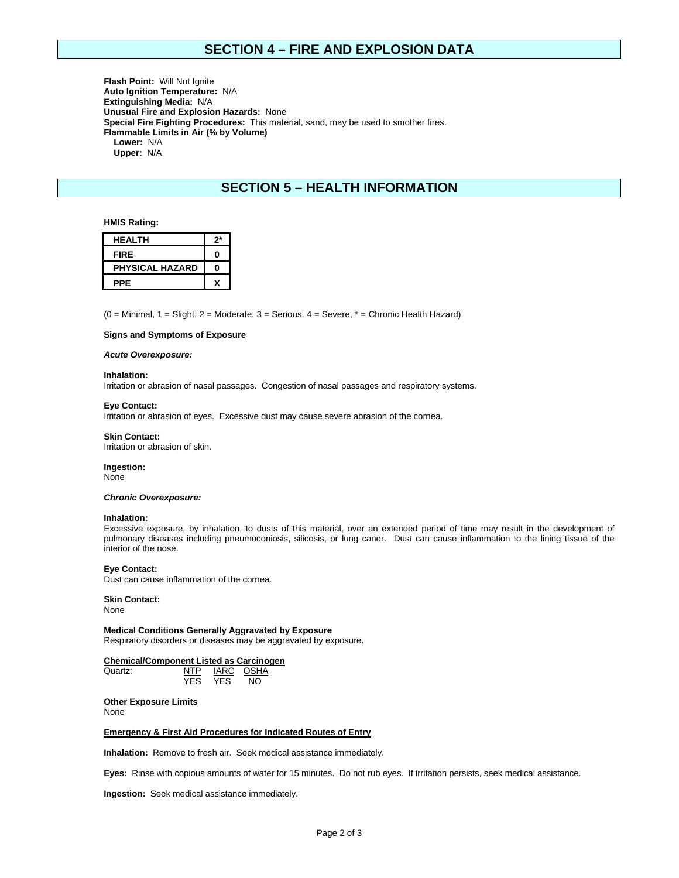### **SECTION 4 – FIRE AND EXPLOSION DATA**

**Flash Point:** Will Not Ignite **Auto Ignition Temperature:** N/A **Extinguishing Media:** N/A **Unusual Fire and Explosion Hazards:** None **Special Fire Fighting Procedures:** This material, sand, may be used to smother fires. **Flammable Limits in Air (% by Volume) Lower:** N/A  **Upper:** N/A

# **SECTION 5 – HEALTH INFORMATION**

**HMIS Rating:**

| <b>HEALTH</b>          | 2* |
|------------------------|----|
| <b>FIRE</b>            | ŋ  |
| <b>PHYSICAL HAZARD</b> |    |
| <b>PPE</b>             |    |

 $(0 =$  Minimal,  $1 =$  Slight,  $2 =$  Moderate,  $3 =$  Serious,  $4 =$  Severe,  $* =$  Chronic Health Hazard)

#### **Signs and Symptoms of Exposure**

#### *Acute Overexposure:*

#### **Inhalation:**

Irritation or abrasion of nasal passages. Congestion of nasal passages and respiratory systems.

#### **Eye Contact:**

Irritation or abrasion of eyes. Excessive dust may cause severe abrasion of the cornea.

### **Skin Contact:**

Irritation or abrasion of skin.

### **Ingestion:**

None

#### *Chronic Overexposure:*

#### **Inhalation:**

Excessive exposure, by inhalation, to dusts of this material, over an extended period of time may result in the development of pulmonary diseases including pneumoconiosis, silicosis, or lung caner. Dust can cause inflammation to the lining tissue of the interior of the nose.

#### **Eye Contact:**

Dust can cause inflammation of the cornea.

#### **Skin Contact:**

None

#### **Medical Conditions Generally Aggravated by Exposure** Respiratory disorders or diseases may be aggravated by exposure.

# **Chemical/Component Listed as Carcinogen**

NTP IARC OSHA YES YES NO

#### **Other Exposure Limits**

None

#### **Emergency & First Aid Procedures for Indicated Routes of Entry**

**Inhalation:** Remove to fresh air. Seek medical assistance immediately.

**Eyes:** Rinse with copious amounts of water for 15 minutes. Do not rub eyes. If irritation persists, seek medical assistance.

**Ingestion:** Seek medical assistance immediately.